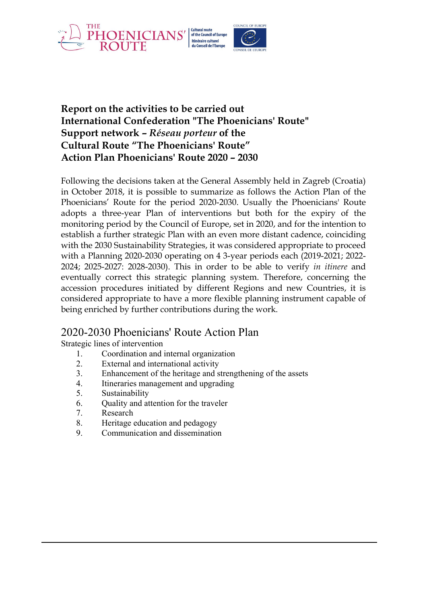

## **Report on the activities to be carried out International Confederation "The Phoenicians' Route" Support network –** *Réseau porteur* **of the Cultural Route "The Phoenicians' Route" Action Plan Phoenicians' Route 2020 – 2030**

Following the decisions taken at the General Assembly held in Zagreb (Croatia) in October 2018, it is possible to summarize as follows the Action Plan of the Phoenicians' Route for the period 2020-2030. Usually the Phoenicians' Route adopts a three-year Plan of interventions but both for the expiry of the monitoring period by the Council of Europe, set in 2020, and for the intention to establish a further strategic Plan with an even more distant cadence, coinciding with the 2030 Sustainability Strategies, it was considered appropriate to proceed with a Planning 2020-2030 operating on 4 3-year periods each (2019-2021; 2022- 2024; 2025-2027: 2028-2030). This in order to be able to verify *in itinere* and eventually correct this strategic planning system. Therefore, concerning the accession procedures initiated by different Regions and new Countries, it is considered appropriate to have a more flexible planning instrument capable of being enriched by further contributions during the work.

# 2020-2030 Phoenicians' Route Action Plan

Strategic lines of intervention

- 1. Coordination and internal organization
- 2. External and international activity
- 3. Enhancement of the heritage and strengthening of the assets
- 4. Itineraries management and upgrading
- 5. Sustainability
- 6. Quality and attention for the traveler
- 7. Research
- 8. Heritage education and pedagogy
- 9. Communication and dissemination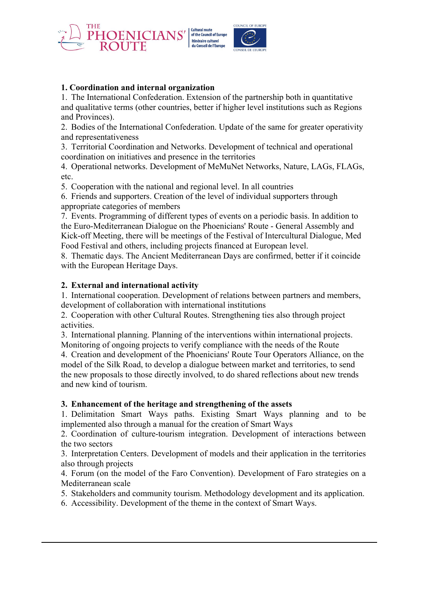

## **1. Coordination and internal organization**

1. The International Confederation. Extension of the partnership both in quantitative and qualitative terms (other countries, better if higher level institutions such as Regions and Provinces).

2. Bodies of the International Confederation. Update of the same for greater operativity and representativeness

3. Territorial Coordination and Networks. Development of technical and operational coordination on initiatives and presence in the territories

4. Operational networks. Development of MeMuNet Networks, Nature, LAGs, FLAGs, etc.

5. Cooperation with the national and regional level. In all countries

6. Friends and supporters. Creation of the level of individual supporters through appropriate categories of members

7. Events. Programming of different types of events on a periodic basis. In addition to the Euro-Mediterranean Dialogue on the Phoenicians' Route - General Assembly and Kick-off Meeting, there will be meetings of the Festival of Intercultural Dialogue, Med Food Festival and others, including projects financed at European level.

8. Thematic days. The Ancient Mediterranean Days are confirmed, better if it coincide with the European Heritage Days.

### **2. External and international activity**

1. International cooperation. Development of relations between partners and members, development of collaboration with international institutions

2. Cooperation with other Cultural Routes. Strengthening ties also through project activities.

3. International planning. Planning of the interventions within international projects. Monitoring of ongoing projects to verify compliance with the needs of the Route

4. Creation and development of the Phoenicians' Route Tour Operators Alliance, on the model of the Silk Road, to develop a dialogue between market and territories, to send the new proposals to those directly involved, to do shared reflections about new trends and new kind of tourism.

### **3. Enhancement of the heritage and strengthening of the assets**

1. Delimitation Smart Ways paths. Existing Smart Ways planning and to be implemented also through a manual for the creation of Smart Ways

2. Coordination of culture-tourism integration. Development of interactions between the two sectors

3. Interpretation Centers. Development of models and their application in the territories also through projects

4. Forum (on the model of the Faro Convention). Development of Faro strategies on a Mediterranean scale

5. Stakeholders and community tourism. Methodology development and its application.

6. Accessibility. Development of the theme in the context of Smart Ways.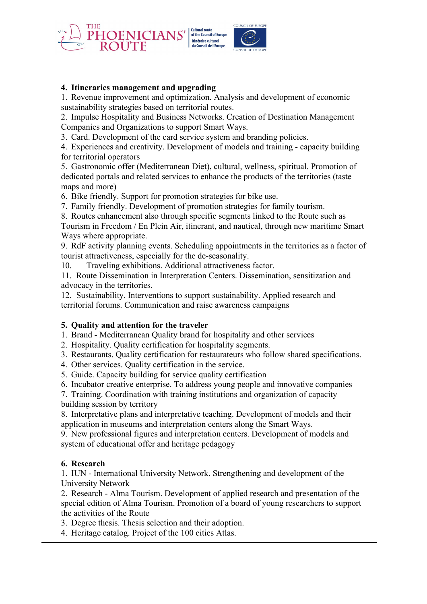

## **4. Itineraries management and upgrading**

1. Revenue improvement and optimization. Analysis and development of economic sustainability strategies based on territorial routes.

2. Impulse Hospitality and Business Networks. Creation of Destination Management Companies and Organizations to support Smart Ways.

3. Card. Development of the card service system and branding policies.

4. Experiences and creativity. Development of models and training - capacity building for territorial operators

5. Gastronomic offer (Mediterranean Diet), cultural, wellness, spiritual. Promotion of dedicated portals and related services to enhance the products of the territories (taste maps and more)

6. Bike friendly. Support for promotion strategies for bike use.

7. Family friendly. Development of promotion strategies for family tourism.

8. Routes enhancement also through specific segments linked to the Route such as

Tourism in Freedom / En Plein Air, itinerant, and nautical, through new maritime Smart Ways where appropriate.

9. RdF activity planning events. Scheduling appointments in the territories as a factor of tourist attractiveness, especially for the de-seasonality.

10. Traveling exhibitions. Additional attractiveness factor.

11. Route Dissemination in Interpretation Centers. Dissemination, sensitization and advocacy in the territories.

12. Sustainability. Interventions to support sustainability. Applied research and territorial forums. Communication and raise awareness campaigns

### **5. Quality and attention for the traveler**

1. Brand - Mediterranean Quality brand for hospitality and other services

2. Hospitality. Quality certification for hospitality segments.

3. Restaurants. Quality certification for restaurateurs who follow shared specifications.

4. Other services. Quality certification in the service.

5. Guide. Capacity building for service quality certification

6. Incubator creative enterprise. To address young people and innovative companies

7. Training. Coordination with training institutions and organization of capacity building session by territory

8. Interpretative plans and interpretative teaching. Development of models and their application in museums and interpretation centers along the Smart Ways.

9. New professional figures and interpretation centers. Development of models and system of educational offer and heritage pedagogy

### **6. Research**

1. IUN - International University Network. Strengthening and development of the University Network

2. Research - Alma Tourism. Development of applied research and presentation of the special edition of Alma Tourism. Promotion of a board of young researchers to support the activities of the Route

3. Degree thesis. Thesis selection and their adoption.

4. Heritage catalog. Project of the 100 cities Atlas.